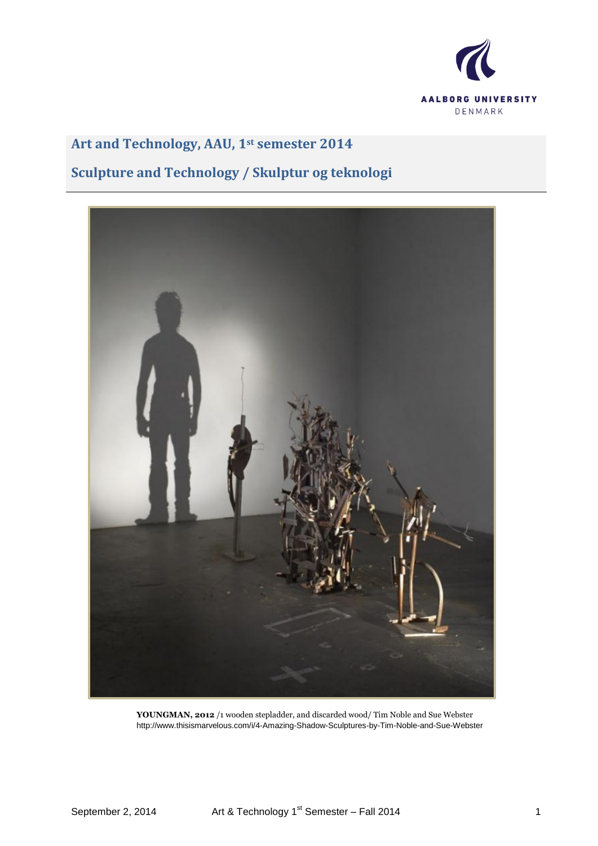

# **Art and Technology, AAU, 1st semester 2014**

# **Sculpture and Technology / Skulptur og teknologi**



**YOUNGMAN, 2012** /1 wooden stepladder, and discarded wood/ Tim Noble and Sue Webster http://www.thisismarvelous.com/i/4-Amazing-Shadow-Sculptures-by-Tim-Noble-and-Sue-Webster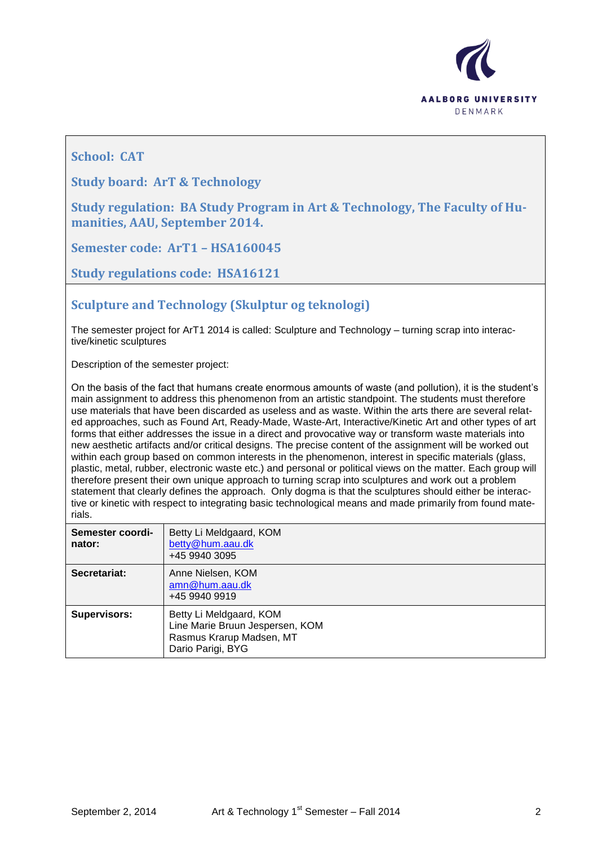

**School: CAT**

**Study board: ArT & Technology**

**Study regulation: BA Study Program in Art & Technology, The Faculty of Humanities, AAU, September 2014.**

**Semester code: ArT1 – HSA160045**

**Study regulations code: HSA16121**

**Sculpture and Technology (Skulptur og teknologi)**

The semester project for ArT1 2014 is called: Sculpture and Technology – turning scrap into interactive/kinetic sculptures

Description of the semester project:

On the basis of the fact that humans create enormous amounts of waste (and pollution), it is the student's main assignment to address this phenomenon from an artistic standpoint. The students must therefore use materials that have been discarded as useless and as waste. Within the arts there are several related approaches, such as Found Art, Ready-Made, Waste-Art, Interactive/Kinetic Art and other types of art forms that either addresses the issue in a direct and provocative way or transform waste materials into new aesthetic artifacts and/or critical designs. The precise content of the assignment will be worked out within each group based on common interests in the phenomenon, interest in specific materials (glass, plastic, metal, rubber, electronic waste etc.) and personal or political views on the matter. Each group will therefore present their own unique approach to turning scrap into sculptures and work out a problem statement that clearly defines the approach. Only dogma is that the sculptures should either be interactive or kinetic with respect to integrating basic technological means and made primarily from found materials.

| Semester coordi-<br>nator: | Betty Li Meldgaard, KOM<br>betty@hum.aau.dk<br>+45 9940 3095                                                |
|----------------------------|-------------------------------------------------------------------------------------------------------------|
| Secretariat:               | Anne Nielsen, KOM<br>amn@hum.aau.dk<br>+45 9940 9919                                                        |
| <b>Supervisors:</b>        | Betty Li Meldgaard, KOM<br>Line Marie Bruun Jespersen, KOM<br>Rasmus Krarup Madsen, MT<br>Dario Parigi, BYG |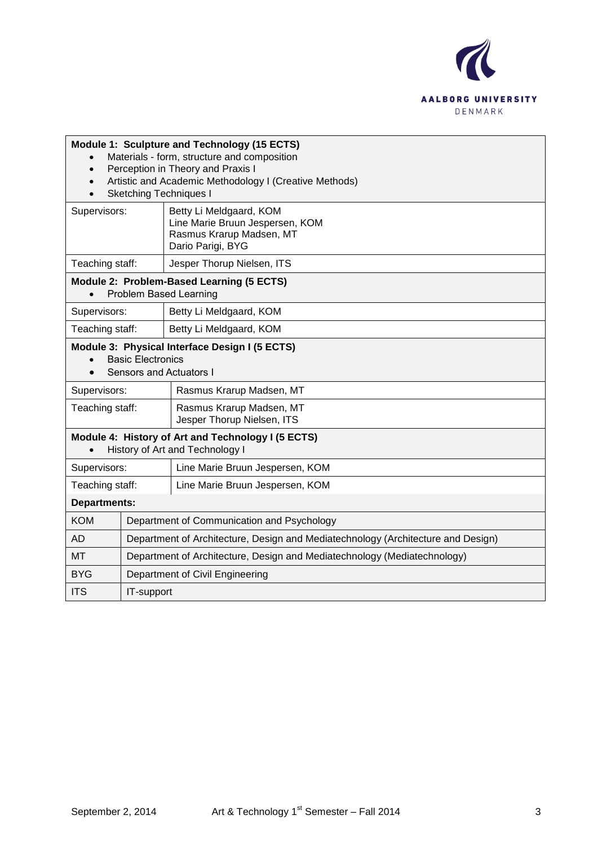

| Module 1: Sculpture and Technology (15 ECTS)<br>Materials - form, structure and composition<br>Perception in Theory and Praxis I<br>$\bullet$<br>Artistic and Academic Methodology I (Creative Methods)<br>$\bullet$<br><b>Sketching Techniques I</b> |                                                                                  |                                                                                                             |
|-------------------------------------------------------------------------------------------------------------------------------------------------------------------------------------------------------------------------------------------------------|----------------------------------------------------------------------------------|-------------------------------------------------------------------------------------------------------------|
| Supervisors:                                                                                                                                                                                                                                          |                                                                                  | Betty Li Meldgaard, KOM<br>Line Marie Bruun Jespersen, KOM<br>Rasmus Krarup Madsen, MT<br>Dario Parigi, BYG |
| Teaching staff:                                                                                                                                                                                                                                       |                                                                                  | Jesper Thorup Nielsen, ITS                                                                                  |
| Module 2: Problem-Based Learning (5 ECTS)<br>Problem Based Learning<br>$\bullet$                                                                                                                                                                      |                                                                                  |                                                                                                             |
| Supervisors:                                                                                                                                                                                                                                          |                                                                                  | Betty Li Meldgaard, KOM                                                                                     |
| Teaching staff:                                                                                                                                                                                                                                       |                                                                                  | Betty Li Meldgaard, KOM                                                                                     |
| Module 3: Physical Interface Design I (5 ECTS)<br><b>Basic Electronics</b><br><b>Sensors and Actuators I</b>                                                                                                                                          |                                                                                  |                                                                                                             |
| Supervisors:<br>Rasmus Krarup Madsen, MT                                                                                                                                                                                                              |                                                                                  |                                                                                                             |
| Teaching staff:                                                                                                                                                                                                                                       |                                                                                  | Rasmus Krarup Madsen, MT<br>Jesper Thorup Nielsen, ITS                                                      |
| Module 4: History of Art and Technology I (5 ECTS)<br>History of Art and Technology I                                                                                                                                                                 |                                                                                  |                                                                                                             |
| Supervisors:                                                                                                                                                                                                                                          |                                                                                  | Line Marie Bruun Jespersen, KOM                                                                             |
| Teaching staff:                                                                                                                                                                                                                                       |                                                                                  | Line Marie Bruun Jespersen, KOM                                                                             |
| <b>Departments:</b>                                                                                                                                                                                                                                   |                                                                                  |                                                                                                             |
| <b>KOM</b>                                                                                                                                                                                                                                            |                                                                                  | Department of Communication and Psychology                                                                  |
| <b>AD</b>                                                                                                                                                                                                                                             | Department of Architecture, Design and Mediatechnology (Architecture and Design) |                                                                                                             |
| MT                                                                                                                                                                                                                                                    | Department of Architecture, Design and Mediatechnology (Mediatechnology)         |                                                                                                             |
| BYG                                                                                                                                                                                                                                                   | Department of Civil Engineering                                                  |                                                                                                             |
| <b>ITS</b>                                                                                                                                                                                                                                            | IT-support                                                                       |                                                                                                             |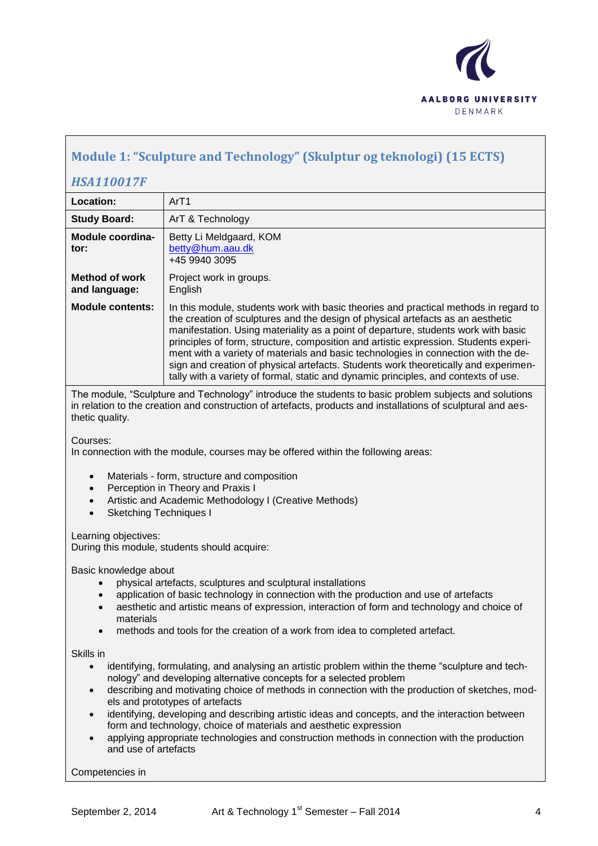

## **Module 1: "Sculpture and Technology" (Skulptur og teknologi) (15 ECTS)**

### *HSA110017F*

| Location:                              | ArT1                                                                                                                                                                                                                                                                                                                                                                                                                                                                                                                                                                                                                      |
|----------------------------------------|---------------------------------------------------------------------------------------------------------------------------------------------------------------------------------------------------------------------------------------------------------------------------------------------------------------------------------------------------------------------------------------------------------------------------------------------------------------------------------------------------------------------------------------------------------------------------------------------------------------------------|
| <b>Study Board:</b>                    | ArT & Technology                                                                                                                                                                                                                                                                                                                                                                                                                                                                                                                                                                                                          |
| Module coordina-<br>tor:               | Betty Li Meldgaard, KOM<br>betty@hum.aau.dk<br>+45 9940 3095                                                                                                                                                                                                                                                                                                                                                                                                                                                                                                                                                              |
| <b>Method of work</b><br>and language: | Project work in groups.<br>English                                                                                                                                                                                                                                                                                                                                                                                                                                                                                                                                                                                        |
| <b>Module contents:</b>                | In this module, students work with basic theories and practical methods in regard to<br>the creation of sculptures and the design of physical artefacts as an aesthetic<br>manifestation. Using materiality as a point of departure, students work with basic<br>principles of form, structure, composition and artistic expression. Students experi-<br>ment with a variety of materials and basic technologies in connection with the de-<br>sign and creation of physical artefacts. Students work theoretically and experimen-<br>tally with a variety of formal, static and dynamic principles, and contexts of use. |

The module, "Sculpture and Technology" introduce the students to basic problem subjects and solutions in relation to the creation and construction of artefacts, products and installations of sculptural and aesthetic quality.

Courses:

In connection with the module, courses may be offered within the following areas:

- Materials form, structure and composition
- Perception in Theory and Praxis I
- Artistic and Academic Methodology I (Creative Methods)
- Sketching Techniques I

Learning objectives:

During this module, students should acquire:

Basic knowledge about

- physical artefacts, sculptures and sculptural installations
- application of basic technology in connection with the production and use of artefacts
- aesthetic and artistic means of expression, interaction of form and technology and choice of materials
- methods and tools for the creation of a work from idea to completed artefact.

#### Skills in

- identifying, formulating, and analysing an artistic problem within the theme "sculpture and technology" and developing alternative concepts for a selected problem
- describing and motivating choice of methods in connection with the production of sketches, models and prototypes of artefacts
- identifying, developing and describing artistic ideas and concepts, and the interaction between form and technology, choice of materials and aesthetic expression
- applying appropriate technologies and construction methods in connection with the production and use of artefacts

Competencies in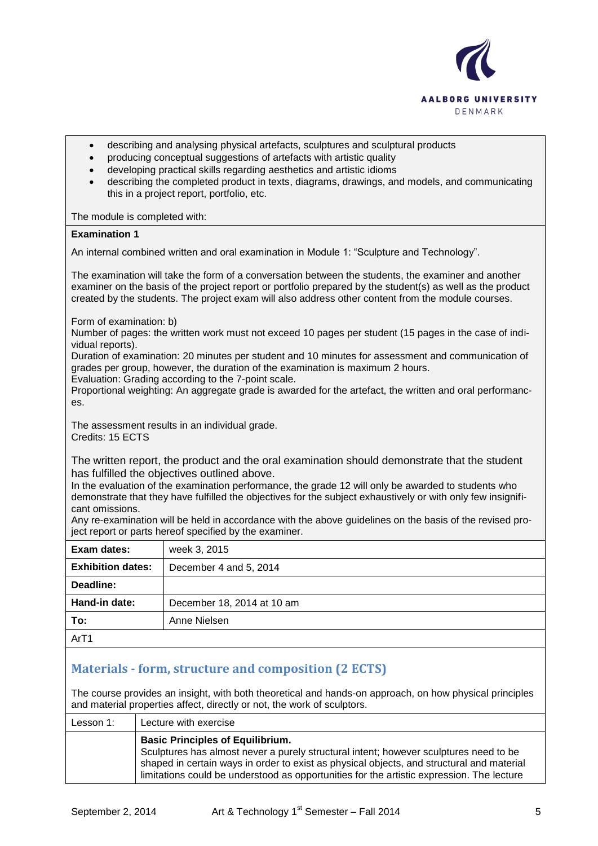

- describing and analysing physical artefacts, sculptures and sculptural products
- producing conceptual suggestions of artefacts with artistic quality
- developing practical skills regarding aesthetics and artistic idioms
- describing the completed product in texts, diagrams, drawings, and models, and communicating this in a project report, portfolio, etc.

The module is completed with:

#### **Examination 1**

An internal combined written and oral examination in Module 1: "Sculpture and Technology".

The examination will take the form of a conversation between the students, the examiner and another examiner on the basis of the project report or portfolio prepared by the student(s) as well as the product created by the students. The project exam will also address other content from the module courses.

Form of examination: b)

Number of pages: the written work must not exceed 10 pages per student (15 pages in the case of individual reports).

Duration of examination: 20 minutes per student and 10 minutes for assessment and communication of grades per group, however, the duration of the examination is maximum 2 hours.

Evaluation: Grading according to the 7-point scale.

Proportional weighting: An aggregate grade is awarded for the artefact, the written and oral performances.

The assessment results in an individual grade. Credits: 15 ECTS

The written report, the product and the oral examination should demonstrate that the student has fulfilled the objectives outlined above.

In the evaluation of the examination performance, the grade 12 will only be awarded to students who demonstrate that they have fulfilled the objectives for the subject exhaustively or with only few insignificant omissions.

Any re-examination will be held in accordance with the above guidelines on the basis of the revised project report or parts hereof specified by the examiner.

| Exam dates:              | week 3, 2015               |
|--------------------------|----------------------------|
| <b>Exhibition dates:</b> | December 4 and 5, 2014     |
| Deadline:                |                            |
| Hand-in date:            | December 18, 2014 at 10 am |
| To:                      | Anne Nielsen               |
| Ar <sub>T1</sub>         |                            |

## **Materials - form, structure and composition (2 ECTS)**

The course provides an insight, with both theoretical and hands-on approach, on how physical principles and material properties affect, directly or not, the work of sculptors.

| Lesson 1: | Lecture with exercise                                                                                                                                                                                                                                                                                                      |
|-----------|----------------------------------------------------------------------------------------------------------------------------------------------------------------------------------------------------------------------------------------------------------------------------------------------------------------------------|
|           | <b>Basic Principles of Equilibrium.</b><br>Sculptures has almost never a purely structural intent; however sculptures need to be<br>shaped in certain ways in order to exist as physical objects, and structural and material<br>limitations could be understood as opportunities for the artistic expression. The lecture |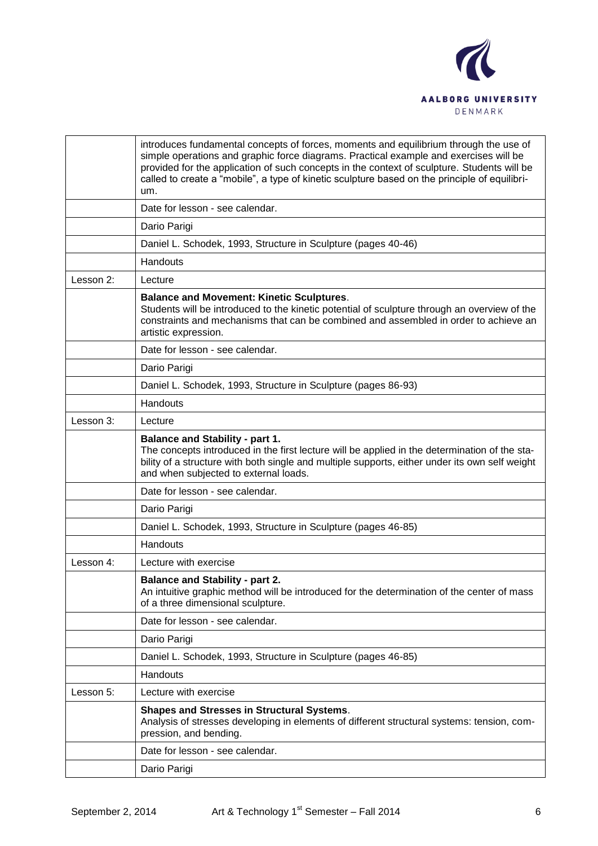

|           | introduces fundamental concepts of forces, moments and equilibrium through the use of<br>simple operations and graphic force diagrams. Practical example and exercises will be<br>provided for the application of such concepts in the context of sculpture. Students will be<br>called to create a "mobile", a type of kinetic sculpture based on the principle of equilibri-<br>um. |
|-----------|---------------------------------------------------------------------------------------------------------------------------------------------------------------------------------------------------------------------------------------------------------------------------------------------------------------------------------------------------------------------------------------|
|           | Date for lesson - see calendar.                                                                                                                                                                                                                                                                                                                                                       |
|           | Dario Parigi                                                                                                                                                                                                                                                                                                                                                                          |
|           | Daniel L. Schodek, 1993, Structure in Sculpture (pages 40-46)                                                                                                                                                                                                                                                                                                                         |
|           | Handouts                                                                                                                                                                                                                                                                                                                                                                              |
| Lesson 2: | Lecture                                                                                                                                                                                                                                                                                                                                                                               |
|           | <b>Balance and Movement: Kinetic Sculptures.</b><br>Students will be introduced to the kinetic potential of sculpture through an overview of the<br>constraints and mechanisms that can be combined and assembled in order to achieve an<br>artistic expression.                                                                                                                      |
|           | Date for lesson - see calendar.                                                                                                                                                                                                                                                                                                                                                       |
|           | Dario Parigi                                                                                                                                                                                                                                                                                                                                                                          |
|           | Daniel L. Schodek, 1993, Structure in Sculpture (pages 86-93)                                                                                                                                                                                                                                                                                                                         |
|           | Handouts                                                                                                                                                                                                                                                                                                                                                                              |
| Lesson 3: | Lecture                                                                                                                                                                                                                                                                                                                                                                               |
|           | <b>Balance and Stability - part 1.</b><br>The concepts introduced in the first lecture will be applied in the determination of the sta-<br>bility of a structure with both single and multiple supports, either under its own self weight<br>and when subjected to external loads.                                                                                                    |
|           | Date for lesson - see calendar.                                                                                                                                                                                                                                                                                                                                                       |
|           | Dario Parigi                                                                                                                                                                                                                                                                                                                                                                          |
|           | Daniel L. Schodek, 1993, Structure in Sculpture (pages 46-85)                                                                                                                                                                                                                                                                                                                         |
|           | Handouts                                                                                                                                                                                                                                                                                                                                                                              |
| Lesson 4: | Lecture with exercise                                                                                                                                                                                                                                                                                                                                                                 |
|           | <b>Balance and Stability - part 2.</b><br>An intuitive graphic method will be introduced for the determination of the center of mass<br>of a three dimensional sculpture.                                                                                                                                                                                                             |
|           | Date for lesson - see calendar.                                                                                                                                                                                                                                                                                                                                                       |
|           | Dario Parigi                                                                                                                                                                                                                                                                                                                                                                          |
|           | Daniel L. Schodek, 1993, Structure in Sculpture (pages 46-85)                                                                                                                                                                                                                                                                                                                         |
|           | Handouts                                                                                                                                                                                                                                                                                                                                                                              |
| Lesson 5: | Lecture with exercise                                                                                                                                                                                                                                                                                                                                                                 |
|           | <b>Shapes and Stresses in Structural Systems.</b><br>Analysis of stresses developing in elements of different structural systems: tension, com-<br>pression, and bending.                                                                                                                                                                                                             |
|           | Date for lesson - see calendar.                                                                                                                                                                                                                                                                                                                                                       |
|           | Dario Parigi                                                                                                                                                                                                                                                                                                                                                                          |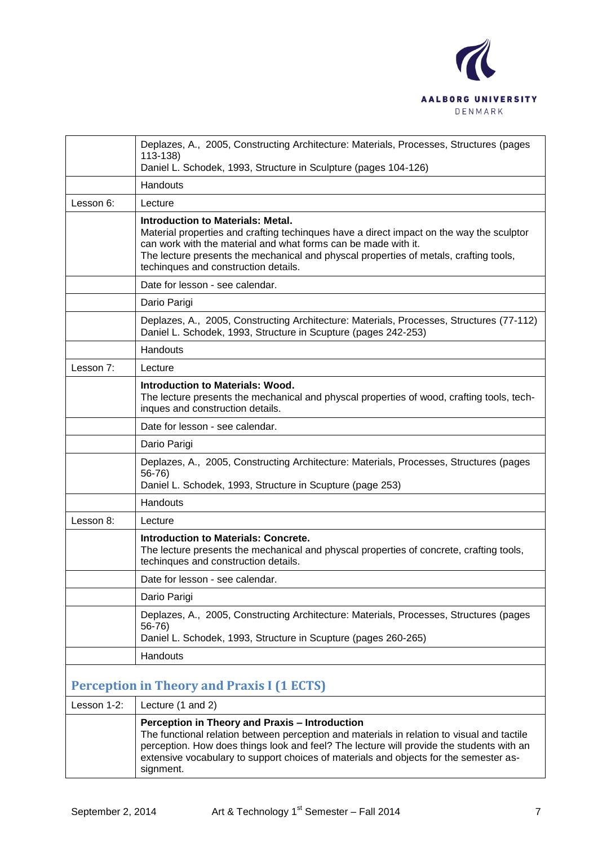

|             | Deplazes, A., 2005, Constructing Architecture: Materials, Processes, Structures (pages<br>113-138)                                                                                                                                                                                                                                             |
|-------------|------------------------------------------------------------------------------------------------------------------------------------------------------------------------------------------------------------------------------------------------------------------------------------------------------------------------------------------------|
|             | Daniel L. Schodek, 1993, Structure in Sculpture (pages 104-126)                                                                                                                                                                                                                                                                                |
|             | Handouts                                                                                                                                                                                                                                                                                                                                       |
| Lesson 6:   | Lecture                                                                                                                                                                                                                                                                                                                                        |
|             | <b>Introduction to Materials: Metal.</b><br>Material properties and crafting techinques have a direct impact on the way the sculptor<br>can work with the material and what forms can be made with it.<br>The lecture presents the mechanical and physcal properties of metals, crafting tools,<br>techinques and construction details.        |
|             | Date for lesson - see calendar.                                                                                                                                                                                                                                                                                                                |
|             | Dario Parigi                                                                                                                                                                                                                                                                                                                                   |
|             | Deplazes, A., 2005, Constructing Architecture: Materials, Processes, Structures (77-112)<br>Daniel L. Schodek, 1993, Structure in Scupture (pages 242-253)                                                                                                                                                                                     |
|             | Handouts                                                                                                                                                                                                                                                                                                                                       |
| Lesson 7:   | Lecture                                                                                                                                                                                                                                                                                                                                        |
|             | Introduction to Materials: Wood.<br>The lecture presents the mechanical and physcal properties of wood, crafting tools, tech-<br>inques and construction details.                                                                                                                                                                              |
|             | Date for lesson - see calendar.                                                                                                                                                                                                                                                                                                                |
|             | Dario Parigi                                                                                                                                                                                                                                                                                                                                   |
|             | Deplazes, A., 2005, Constructing Architecture: Materials, Processes, Structures (pages<br>56-76)<br>Daniel L. Schodek, 1993, Structure in Scupture (page 253)                                                                                                                                                                                  |
|             | Handouts                                                                                                                                                                                                                                                                                                                                       |
| Lesson 8:   | Lecture                                                                                                                                                                                                                                                                                                                                        |
|             | <b>Introduction to Materials: Concrete.</b><br>The lecture presents the mechanical and physcal properties of concrete, crafting tools,<br>techingues and construction details.                                                                                                                                                                 |
|             | Date for lesson - see calendar.                                                                                                                                                                                                                                                                                                                |
|             | Dario Parigi                                                                                                                                                                                                                                                                                                                                   |
|             | Deplazes, A., 2005, Constructing Architecture: Materials, Processes, Structures (pages<br>$56-76$<br>Daniel L. Schodek, 1993, Structure in Scupture (pages 260-265)                                                                                                                                                                            |
|             | Handouts                                                                                                                                                                                                                                                                                                                                       |
|             | <b>Perception in Theory and Praxis I (1 ECTS)</b>                                                                                                                                                                                                                                                                                              |
| Lesson 1-2: | Lecture (1 and 2)                                                                                                                                                                                                                                                                                                                              |
|             | Perception in Theory and Praxis - Introduction<br>The functional relation between perception and materials in relation to visual and tactile<br>perception. How does things look and feel? The lecture will provide the students with an<br>extensive vocabulary to support choices of materials and objects for the semester as-<br>signment. |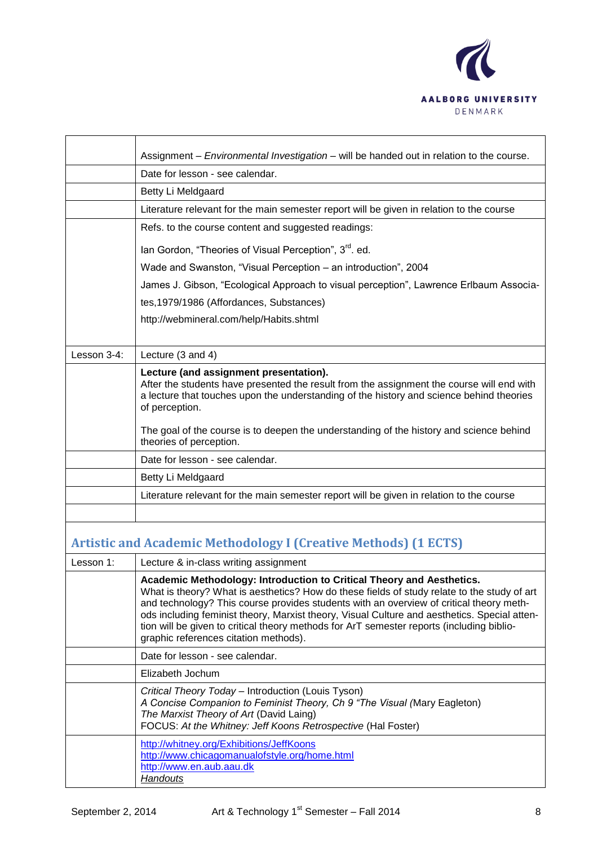

|             | Assignment - Environmental Investigation - will be handed out in relation to the course.                                                                                                                                                                        |
|-------------|-----------------------------------------------------------------------------------------------------------------------------------------------------------------------------------------------------------------------------------------------------------------|
|             | Date for lesson - see calendar.                                                                                                                                                                                                                                 |
|             | Betty Li Meldgaard                                                                                                                                                                                                                                              |
|             | Literature relevant for the main semester report will be given in relation to the course                                                                                                                                                                        |
|             | Refs. to the course content and suggested readings:                                                                                                                                                                                                             |
|             | lan Gordon, "Theories of Visual Perception", 3 <sup>rd</sup> . ed.                                                                                                                                                                                              |
|             | Wade and Swanston, "Visual Perception - an introduction", 2004                                                                                                                                                                                                  |
|             | James J. Gibson, "Ecological Approach to visual perception", Lawrence Erlbaum Associa-                                                                                                                                                                          |
|             | tes, 1979/1986 (Affordances, Substances)                                                                                                                                                                                                                        |
|             | http://webmineral.com/help/Habits.shtml                                                                                                                                                                                                                         |
|             |                                                                                                                                                                                                                                                                 |
| Lesson 3-4: | Lecture (3 and 4)                                                                                                                                                                                                                                               |
|             | Lecture (and assignment presentation).<br>After the students have presented the result from the assignment the course will end with<br>a lecture that touches upon the understanding of the history and science behind theories<br>of perception.               |
|             | The goal of the course is to deepen the understanding of the history and science behind<br>theories of perception.                                                                                                                                              |
|             | Date for lesson - see calendar.                                                                                                                                                                                                                                 |
|             | Betty Li Meldgaard                                                                                                                                                                                                                                              |
|             | Literature relevant for the main semester report will be given in relation to the course                                                                                                                                                                        |
|             |                                                                                                                                                                                                                                                                 |
|             | <b>Artistic and Academic Methodology I (Creative Methods) (1 ECTS)</b>                                                                                                                                                                                          |
| Lesson 1:   | Lecture & in-class writing assignment                                                                                                                                                                                                                           |
|             | Academic Methodology: Introduction to Critical Theory and Aesthetics.<br>What is theory? What is aesthetics? How do these fields of study relate to the study of art<br>and technology? This course provides students with an overview of critical theory meth- |

| ods including feminist theory, Marxist theory, Visual Culture and aesthetics. Special atten-<br>tion will be given to critical theory methods for ArT semester reports (including biblio-<br>graphic references citation methods).        |
|-------------------------------------------------------------------------------------------------------------------------------------------------------------------------------------------------------------------------------------------|
| Date for lesson - see calendar.                                                                                                                                                                                                           |
| Elizabeth Jochum                                                                                                                                                                                                                          |
| Critical Theory Today - Introduction (Louis Tyson)<br>A Concise Companion to Feminist Theory, Ch 9 "The Visual (Mary Eagleton)<br>The Marxist Theory of Art (David Laing)<br>FOCUS: At the Whitney: Jeff Koons Retrospective (Hal Foster) |
| http://whitney.org/Exhibitions/JeffKoons<br>http://www.chicagomanualofstyle.org/home.html<br>http://www.en.aub.aau.dk<br><b>Handouts</b>                                                                                                  |
|                                                                                                                                                                                                                                           |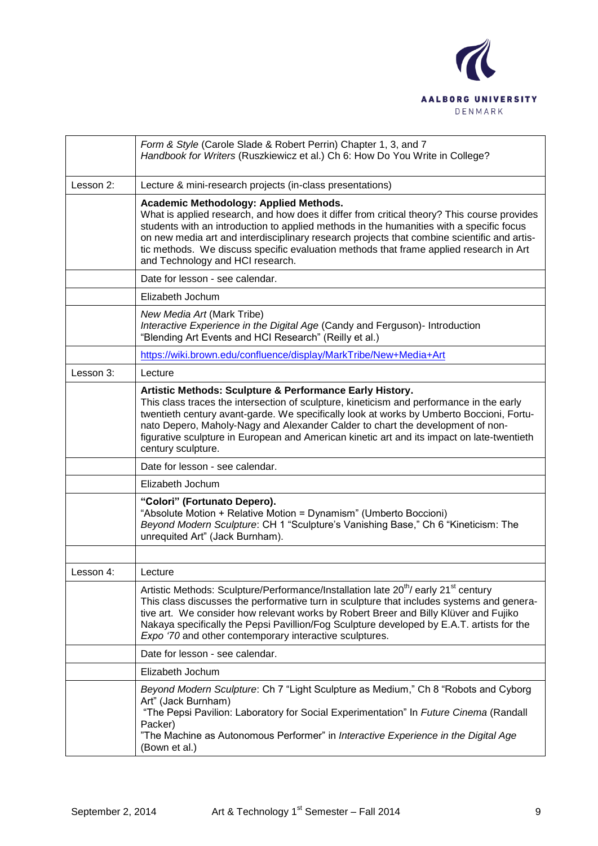

|           | Form & Style (Carole Slade & Robert Perrin) Chapter 1, 3, and 7<br>Handbook for Writers (Ruszkiewicz et al.) Ch 6: How Do You Write in College?                                                                                                                                                                                                                                                                                                                       |
|-----------|-----------------------------------------------------------------------------------------------------------------------------------------------------------------------------------------------------------------------------------------------------------------------------------------------------------------------------------------------------------------------------------------------------------------------------------------------------------------------|
| Lesson 2: | Lecture & mini-research projects (in-class presentations)                                                                                                                                                                                                                                                                                                                                                                                                             |
|           | <b>Academic Methodology: Applied Methods.</b><br>What is applied research, and how does it differ from critical theory? This course provides<br>students with an introduction to applied methods in the humanities with a specific focus<br>on new media art and interdisciplinary research projects that combine scientific and artis-<br>tic methods. We discuss specific evaluation methods that frame applied research in Art<br>and Technology and HCI research. |
|           | Date for lesson - see calendar.                                                                                                                                                                                                                                                                                                                                                                                                                                       |
|           | Elizabeth Jochum                                                                                                                                                                                                                                                                                                                                                                                                                                                      |
|           | New Media Art (Mark Tribe)<br>Interactive Experience in the Digital Age (Candy and Ferguson)- Introduction<br>"Blending Art Events and HCI Research" (Reilly et al.)                                                                                                                                                                                                                                                                                                  |
|           | https://wiki.brown.edu/confluence/display/MarkTribe/New+Media+Art                                                                                                                                                                                                                                                                                                                                                                                                     |
| Lesson 3: | Lecture                                                                                                                                                                                                                                                                                                                                                                                                                                                               |
|           | Artistic Methods: Sculpture & Performance Early History.<br>This class traces the intersection of sculpture, kineticism and performance in the early<br>twentieth century avant-garde. We specifically look at works by Umberto Boccioni, Fortu-<br>nato Depero, Maholy-Nagy and Alexander Calder to chart the development of non-<br>figurative sculpture in European and American kinetic art and its impact on late-twentieth<br>century sculpture.                |
|           | Date for lesson - see calendar.                                                                                                                                                                                                                                                                                                                                                                                                                                       |
|           | Elizabeth Jochum                                                                                                                                                                                                                                                                                                                                                                                                                                                      |
|           | "Colori" (Fortunato Depero).<br>"Absolute Motion + Relative Motion = Dynamism" (Umberto Boccioni)<br>Beyond Modern Sculpture: CH 1 "Sculpture's Vanishing Base," Ch 6 "Kineticism: The<br>unrequited Art" (Jack Burnham).                                                                                                                                                                                                                                             |
|           |                                                                                                                                                                                                                                                                                                                                                                                                                                                                       |
| Lesson 4: | Lecture                                                                                                                                                                                                                                                                                                                                                                                                                                                               |
|           | Artistic Methods: Sculpture/Performance/Installation late 20 <sup>th</sup> / early 21 <sup>st</sup> century<br>This class discusses the performative turn in sculpture that includes systems and genera-<br>tive art. We consider how relevant works by Robert Breer and Billy Klüver and Fujiko<br>Nakaya specifically the Pepsi Pavillion/Fog Sculpture developed by E.A.T. artists for the<br>Expo '70 and other contemporary interactive sculptures.              |
|           | Date for lesson - see calendar.                                                                                                                                                                                                                                                                                                                                                                                                                                       |
|           | Elizabeth Jochum                                                                                                                                                                                                                                                                                                                                                                                                                                                      |
|           | Beyond Modern Sculpture: Ch 7 "Light Sculpture as Medium," Ch 8 "Robots and Cyborg<br>Art" (Jack Burnham)<br>"The Pepsi Pavilion: Laboratory for Social Experimentation" In Future Cinema (Randall<br>Packer)<br>"The Machine as Autonomous Performer" in Interactive Experience in the Digital Age<br>(Bown et al.)                                                                                                                                                  |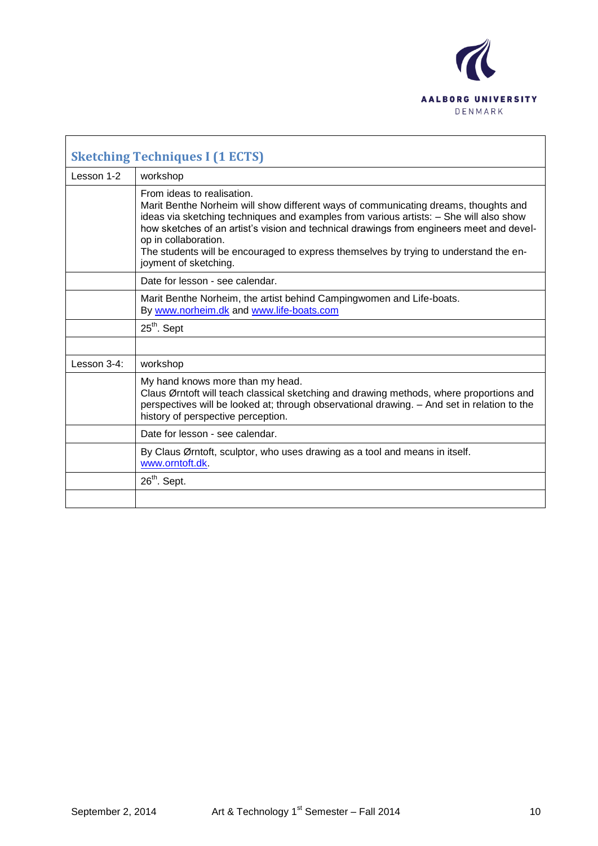

|             | <b>Sketching Techniques I (1 ECTS)</b>                                                                                                                                                                                                                                                                                                                                                                                                            |
|-------------|---------------------------------------------------------------------------------------------------------------------------------------------------------------------------------------------------------------------------------------------------------------------------------------------------------------------------------------------------------------------------------------------------------------------------------------------------|
| Lesson 1-2  | workshop                                                                                                                                                                                                                                                                                                                                                                                                                                          |
|             | From ideas to realisation.<br>Marit Benthe Norheim will show different ways of communicating dreams, thoughts and<br>ideas via sketching techniques and examples from various artists: - She will also show<br>how sketches of an artist's vision and technical drawings from engineers meet and devel-<br>op in collaboration.<br>The students will be encouraged to express themselves by trying to understand the en-<br>joyment of sketching. |
|             | Date for lesson - see calendar.                                                                                                                                                                                                                                                                                                                                                                                                                   |
|             | Marit Benthe Norheim, the artist behind Campingwomen and Life-boats.<br>By www.norheim.dk and www.life-boats.com                                                                                                                                                                                                                                                                                                                                  |
|             | 25 <sup>th</sup> . Sept                                                                                                                                                                                                                                                                                                                                                                                                                           |
|             |                                                                                                                                                                                                                                                                                                                                                                                                                                                   |
| Lesson 3-4: | workshop                                                                                                                                                                                                                                                                                                                                                                                                                                          |
|             | My hand knows more than my head.<br>Claus Ørntoft will teach classical sketching and drawing methods, where proportions and<br>perspectives will be looked at; through observational drawing. - And set in relation to the<br>history of perspective perception.                                                                                                                                                                                  |
|             | Date for lesson - see calendar.                                                                                                                                                                                                                                                                                                                                                                                                                   |
|             | By Claus Ørntoft, sculptor, who uses drawing as a tool and means in itself.<br>www.orntoft.dk.                                                                                                                                                                                                                                                                                                                                                    |
|             | 26 <sup>th</sup> . Sept.                                                                                                                                                                                                                                                                                                                                                                                                                          |
|             |                                                                                                                                                                                                                                                                                                                                                                                                                                                   |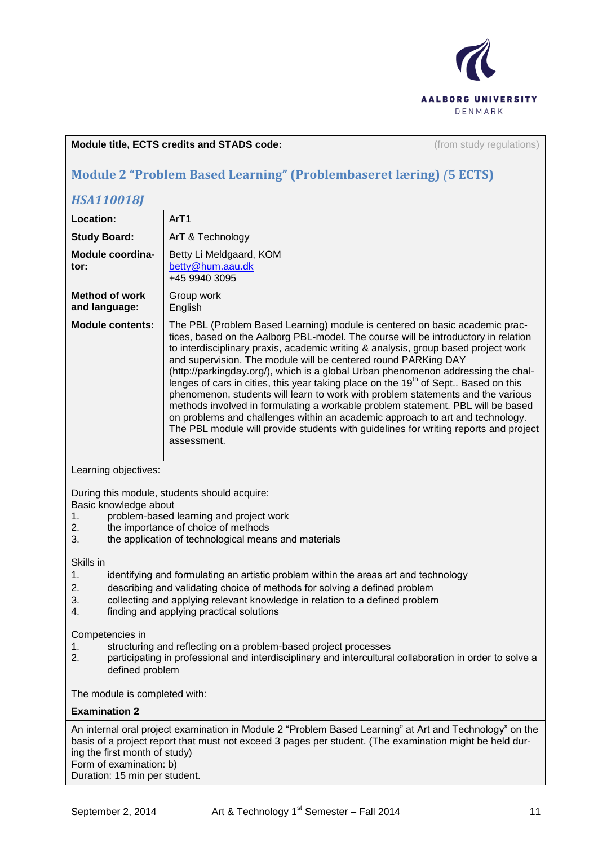

#### **Module title, ECTS credits and STADS code:** (from study regulations)

# **Module 2 "Problem Based Learning" (Problembaseret læring)** *(***5 ECTS)**

## *HSA110018J*

| Location:                                                                                                                                                                                                                                                                                                                                           | ArT1                                                                                                                                                                                                                                                                                                                                                                                                                                                                                                                                                                                                                                                                                                                                                                                                                                                                           |  |
|-----------------------------------------------------------------------------------------------------------------------------------------------------------------------------------------------------------------------------------------------------------------------------------------------------------------------------------------------------|--------------------------------------------------------------------------------------------------------------------------------------------------------------------------------------------------------------------------------------------------------------------------------------------------------------------------------------------------------------------------------------------------------------------------------------------------------------------------------------------------------------------------------------------------------------------------------------------------------------------------------------------------------------------------------------------------------------------------------------------------------------------------------------------------------------------------------------------------------------------------------|--|
| <b>Study Board:</b>                                                                                                                                                                                                                                                                                                                                 | ArT & Technology                                                                                                                                                                                                                                                                                                                                                                                                                                                                                                                                                                                                                                                                                                                                                                                                                                                               |  |
| Module coordina-<br>tor:                                                                                                                                                                                                                                                                                                                            | Betty Li Meldgaard, KOM<br>betty@hum.aau.dk<br>+45 9940 3095                                                                                                                                                                                                                                                                                                                                                                                                                                                                                                                                                                                                                                                                                                                                                                                                                   |  |
| <b>Method of work</b><br>and language:                                                                                                                                                                                                                                                                                                              | Group work<br>English                                                                                                                                                                                                                                                                                                                                                                                                                                                                                                                                                                                                                                                                                                                                                                                                                                                          |  |
| <b>Module contents:</b>                                                                                                                                                                                                                                                                                                                             | The PBL (Problem Based Learning) module is centered on basic academic prac-<br>tices, based on the Aalborg PBL-model. The course will be introductory in relation<br>to interdisciplinary praxis, academic writing & analysis, group based project work<br>and supervision. The module will be centered round PARKing DAY<br>(http://parkingday.org/), which is a global Urban phenomenon addressing the chal-<br>lenges of cars in cities, this year taking place on the 19 <sup>th</sup> of Sept Based on this<br>phenomenon, students will learn to work with problem statements and the various<br>methods involved in formulating a workable problem statement. PBL will be based<br>on problems and challenges within an academic approach to art and technology.<br>The PBL module will provide students with guidelines for writing reports and project<br>assessment. |  |
| Learning objectives:                                                                                                                                                                                                                                                                                                                                |                                                                                                                                                                                                                                                                                                                                                                                                                                                                                                                                                                                                                                                                                                                                                                                                                                                                                |  |
| During this module, students should acquire:<br>Basic knowledge about<br>problem-based learning and project work<br>1.<br>2.<br>the importance of choice of methods<br>the application of technological means and materials<br>3.                                                                                                                   |                                                                                                                                                                                                                                                                                                                                                                                                                                                                                                                                                                                                                                                                                                                                                                                                                                                                                |  |
| Skills in<br>1.<br>identifying and formulating an artistic problem within the areas art and technology<br>describing and validating choice of methods for solving a defined problem<br>2.<br>collecting and applying relevant knowledge in relation to a defined problem<br>3.<br>finding and applying practical solutions<br>4.<br>Competencies in |                                                                                                                                                                                                                                                                                                                                                                                                                                                                                                                                                                                                                                                                                                                                                                                                                                                                                |  |
| 1.<br>2<br>defined problem                                                                                                                                                                                                                                                                                                                          | structuring and reflecting on a problem-based project processes<br>participating in professional and interdisciplinary and intercultural collaboration in order to solve a                                                                                                                                                                                                                                                                                                                                                                                                                                                                                                                                                                                                                                                                                                     |  |
| The module is completed with:                                                                                                                                                                                                                                                                                                                       |                                                                                                                                                                                                                                                                                                                                                                                                                                                                                                                                                                                                                                                                                                                                                                                                                                                                                |  |
| <b>Examination 2</b>                                                                                                                                                                                                                                                                                                                                |                                                                                                                                                                                                                                                                                                                                                                                                                                                                                                                                                                                                                                                                                                                                                                                                                                                                                |  |
| ing the first month of study)<br>Form of examination: b)                                                                                                                                                                                                                                                                                            | An internal oral project examination in Module 2 "Problem Based Learning" at Art and Technology" on the<br>basis of a project report that must not exceed 3 pages per student. (The examination might be held dur-                                                                                                                                                                                                                                                                                                                                                                                                                                                                                                                                                                                                                                                             |  |

Duration: 15 min per student.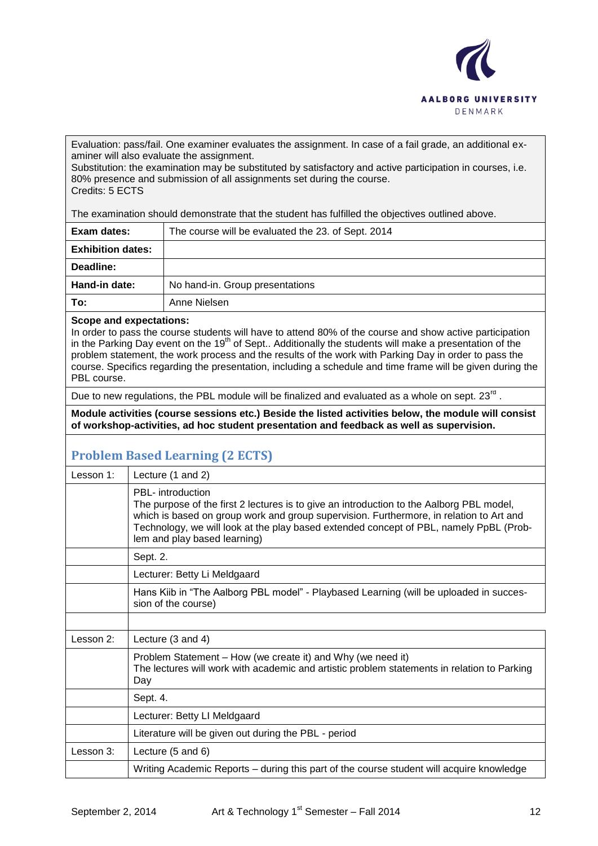

Evaluation: pass/fail. One examiner evaluates the assignment. In case of a fail grade, an additional examiner will also evaluate the assignment.

Substitution: the examination may be substituted by satisfactory and active participation in courses, i.e. 80% presence and submission of all assignments set during the course. Credits: 5 ECTS

The examination should demonstrate that the student has fulfilled the objectives outlined above.

| Exam dates:              | The course will be evaluated the 23. of Sept. 2014 |
|--------------------------|----------------------------------------------------|
| <b>Exhibition dates:</b> |                                                    |
| Deadline:                |                                                    |
| Hand-in date:            | No hand-in. Group presentations                    |
| To:                      | Anne Nielsen                                       |

#### **Scope and expectations:**

In order to pass the course students will have to attend 80% of the course and show active participation in the Parking Day event on the 19<sup>th</sup> of Sept.. Additionally the students will make a presentation of the problem statement, the work process and the results of the work with Parking Day in order to pass the course. Specifics regarding the presentation, including a schedule and time frame will be given during the PBL course.

Due to new regulations, the PBL module will be finalized and evaluated as a whole on sept. 23 $^{\text{rd}}$  .

**Module activities (course sessions etc.) Beside the listed activities below, the module will consist of workshop-activities, ad hoc student presentation and feedback as well as supervision.**

## **Problem Based Learning (2 ECTS)**

| Lesson 1: | Lecture (1 and 2)                                                                                                                                                                                                                                                                                                                         |
|-----------|-------------------------------------------------------------------------------------------------------------------------------------------------------------------------------------------------------------------------------------------------------------------------------------------------------------------------------------------|
|           | <b>PBL-</b> introduction<br>The purpose of the first 2 lectures is to give an introduction to the Aalborg PBL model,<br>which is based on group work and group supervision. Furthermore, in relation to Art and<br>Technology, we will look at the play based extended concept of PBL, namely PpBL (Prob-<br>lem and play based learning) |
|           | Sept. 2.                                                                                                                                                                                                                                                                                                                                  |
|           | Lecturer: Betty Li Meldgaard                                                                                                                                                                                                                                                                                                              |
|           | Hans Kiib in "The Aalborg PBL model" - Playbased Learning (will be uploaded in succes-<br>sion of the course)                                                                                                                                                                                                                             |
|           |                                                                                                                                                                                                                                                                                                                                           |
| Lesson 2: | Lecture (3 and 4)                                                                                                                                                                                                                                                                                                                         |
|           | Problem Statement - How (we create it) and Why (we need it)<br>The lectures will work with academic and artistic problem statements in relation to Parking<br>Day                                                                                                                                                                         |
|           | Sept. 4.                                                                                                                                                                                                                                                                                                                                  |
|           | Lecturer: Betty LI Meldgaard                                                                                                                                                                                                                                                                                                              |
|           | Literature will be given out during the PBL - period                                                                                                                                                                                                                                                                                      |
| Lesson 3: | Lecture (5 and 6)                                                                                                                                                                                                                                                                                                                         |
|           | Writing Academic Reports – during this part of the course student will acquire knowledge                                                                                                                                                                                                                                                  |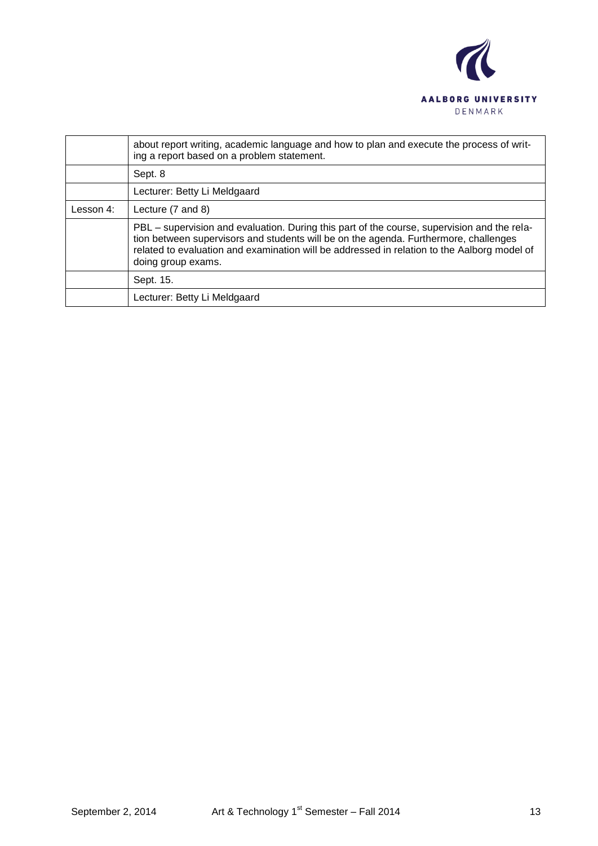

|           | about report writing, academic language and how to plan and execute the process of writ-<br>ing a report based on a problem statement.                                                                                                                                                                   |
|-----------|----------------------------------------------------------------------------------------------------------------------------------------------------------------------------------------------------------------------------------------------------------------------------------------------------------|
|           | Sept. 8                                                                                                                                                                                                                                                                                                  |
|           | Lecturer: Betty Li Meldgaard                                                                                                                                                                                                                                                                             |
| Lesson 4: | Lecture (7 and 8)                                                                                                                                                                                                                                                                                        |
|           | PBL – supervision and evaluation. During this part of the course, supervision and the rela-<br>tion between supervisors and students will be on the agenda. Furthermore, challenges<br>related to evaluation and examination will be addressed in relation to the Aalborg model of<br>doing group exams. |
|           | Sept. 15.                                                                                                                                                                                                                                                                                                |
|           | Lecturer: Betty Li Meldgaard                                                                                                                                                                                                                                                                             |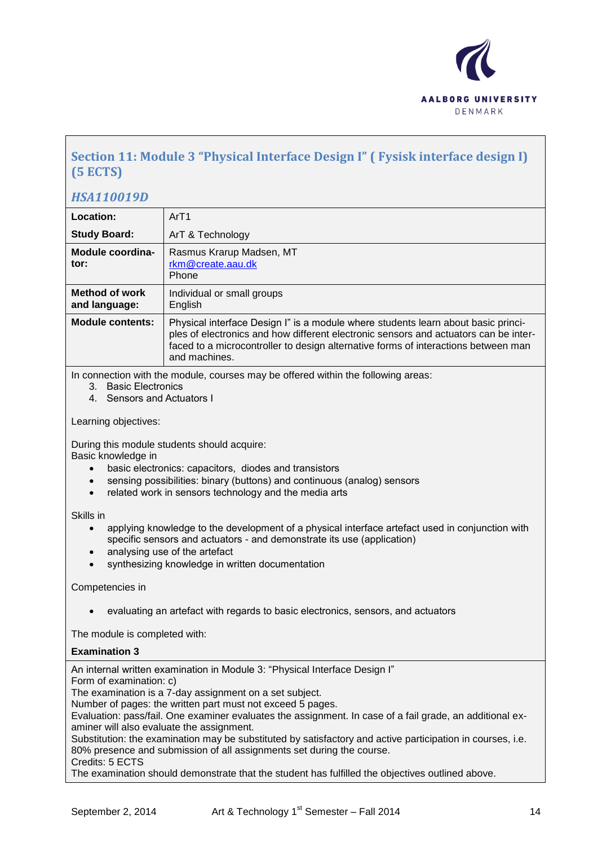

## **Section 11: Module 3 "Physical Interface Design I" ( Fysisk interface design I) (5 ECTS)**

## *HSA110019D*

| Location:                                                            | ArT1                                                                                                                                                                                                                                                                                                            |
|----------------------------------------------------------------------|-----------------------------------------------------------------------------------------------------------------------------------------------------------------------------------------------------------------------------------------------------------------------------------------------------------------|
| <b>Study Board:</b>                                                  | ArT & Technology                                                                                                                                                                                                                                                                                                |
| Module coordina-<br>tor:                                             | Rasmus Krarup Madsen, MT<br>rkm@create.aau.dk<br>Phone                                                                                                                                                                                                                                                          |
| <b>Method of work</b><br>and language:                               | Individual or small groups<br>English                                                                                                                                                                                                                                                                           |
| <b>Module contents:</b>                                              | Physical interface Design I" is a module where students learn about basic princi-<br>ples of electronics and how different electronic sensors and actuators can be inter-<br>faced to a microcontroller to design alternative forms of interactions between man<br>and machines.                                |
| 3. Basic Electronics<br>4. Sensors and Actuators I                   | In connection with the module, courses may be offered within the following areas:                                                                                                                                                                                                                               |
| Learning objectives:                                                 |                                                                                                                                                                                                                                                                                                                 |
| Basic knowledge in<br>$\bullet$<br>$\bullet$<br>$\bullet$            | During this module students should acquire:<br>basic electronics: capacitors, diodes and transistors<br>sensing possibilities: binary (buttons) and continuous (analog) sensors<br>related work in sensors technology and the media arts                                                                        |
| Skills in<br>$\bullet$<br>$\bullet$<br>$\bullet$                     | applying knowledge to the development of a physical interface artefact used in conjunction with<br>specific sensors and actuators - and demonstrate its use (application)<br>analysing use of the artefact<br>synthesizing knowledge in written documentation                                                   |
| Competencies in                                                      |                                                                                                                                                                                                                                                                                                                 |
|                                                                      | evaluating an artefact with regards to basic electronics, sensors, and actuators                                                                                                                                                                                                                                |
| The module is completed with:                                        |                                                                                                                                                                                                                                                                                                                 |
| <b>Examination 3</b>                                                 |                                                                                                                                                                                                                                                                                                                 |
| Form of examination: c)<br>aminer will also evaluate the assignment. | An internal written examination in Module 3: "Physical Interface Design I"<br>The examination is a 7-day assignment on a set subject.<br>Number of pages: the written part must not exceed 5 pages.<br>Evaluation: pass/fail. One examiner evaluates the assignment. In case of a fail grade, an additional ex- |

Substitution: the examination may be substituted by satisfactory and active participation in courses, i.e. 80% presence and submission of all assignments set during the course. Credits: 5 ECTS

The examination should demonstrate that the student has fulfilled the objectives outlined above.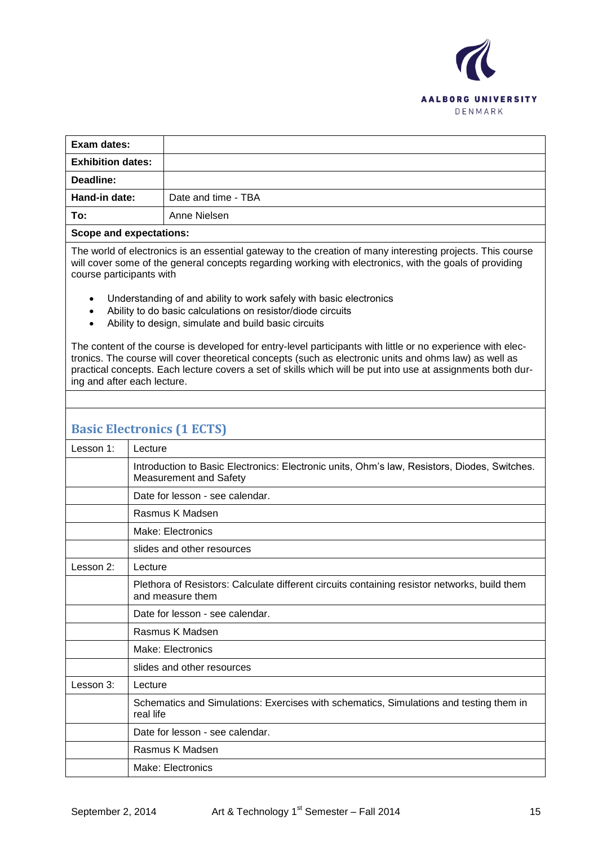

| Exam dates:                    |                     |
|--------------------------------|---------------------|
| <b>Exhibition dates:</b>       |                     |
| Deadline:                      |                     |
| Hand-in date:                  | Date and time - TBA |
| To:                            | Anne Nielsen        |
| <b>Scope and expectations:</b> |                     |

The world of electronics is an essential gateway to the creation of many interesting projects. This course will cover some of the general concepts regarding working with electronics, with the goals of providing course participants with

- Understanding of and ability to work safely with basic electronics
- Ability to do basic calculations on resistor/diode circuits
- Ability to design, simulate and build basic circuits

The content of the course is developed for entry-level participants with little or no experience with electronics. The course will cover theoretical concepts (such as electronic units and ohms law) as well as practical concepts. Each lecture covers a set of skills which will be put into use at assignments both during and after each lecture.

## **Basic Electronics (1 ECTS)**

| Lesson 1: | Lecture                                                                                                                       |
|-----------|-------------------------------------------------------------------------------------------------------------------------------|
|           | Introduction to Basic Electronics: Electronic units, Ohm's law, Resistors, Diodes, Switches.<br><b>Measurement and Safety</b> |
|           | Date for lesson - see calendar.                                                                                               |
|           | Rasmus K Madsen                                                                                                               |
|           | Make: Electronics                                                                                                             |
|           | slides and other resources                                                                                                    |
| Lesson 2: | Lecture                                                                                                                       |
|           | Plethora of Resistors: Calculate different circuits containing resistor networks, build them<br>and measure them              |
|           | Date for lesson - see calendar.                                                                                               |
|           | Rasmus K Madsen                                                                                                               |
|           | Make: Electronics                                                                                                             |
|           | slides and other resources                                                                                                    |
| Lesson 3: | Lecture                                                                                                                       |
|           | Schematics and Simulations: Exercises with schematics, Simulations and testing them in<br>real life                           |
|           | Date for lesson - see calendar.                                                                                               |
|           | Rasmus K Madsen                                                                                                               |
|           | Make: Electronics                                                                                                             |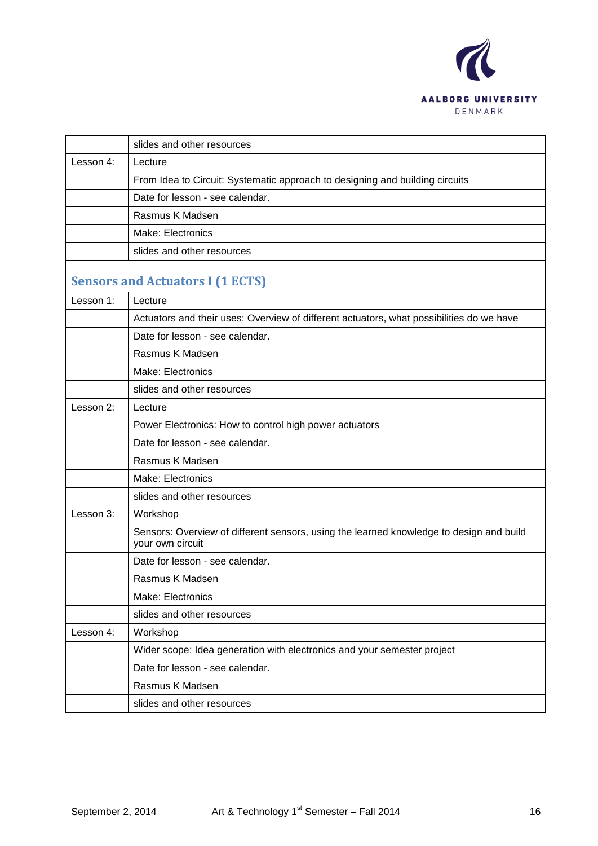

|           | slides and other resources                                                                                  |
|-----------|-------------------------------------------------------------------------------------------------------------|
| Lesson 4: | Lecture                                                                                                     |
|           | From Idea to Circuit: Systematic approach to designing and building circuits                                |
|           | Date for lesson - see calendar.                                                                             |
|           | Rasmus K Madsen                                                                                             |
|           | Make: Electronics                                                                                           |
|           | slides and other resources                                                                                  |
|           | <b>Sensors and Actuators I (1 ECTS)</b>                                                                     |
| Lesson 1: | Lecture                                                                                                     |
|           | Actuators and their uses: Overview of different actuators, what possibilities do we have                    |
|           | Date for lesson - see calendar.                                                                             |
|           | Rasmus K Madsen                                                                                             |
|           | Make: Electronics                                                                                           |
|           | slides and other resources                                                                                  |
| Lesson 2: | Lecture                                                                                                     |
|           | Power Electronics: How to control high power actuators                                                      |
|           | Date for lesson - see calendar.                                                                             |
|           | Rasmus K Madsen                                                                                             |
|           | Make: Electronics                                                                                           |
|           | slides and other resources                                                                                  |
| Lesson 3: | Workshop                                                                                                    |
|           | Sensors: Overview of different sensors, using the learned knowledge to design and build<br>your own circuit |
|           | Date for lesson - see calendar.                                                                             |
|           | Rasmus K Madsen                                                                                             |
|           | Make: Electronics                                                                                           |
|           | slides and other resources                                                                                  |
| Lesson 4: | Workshop                                                                                                    |
|           | Wider scope: Idea generation with electronics and your semester project                                     |
|           | Date for lesson - see calendar.                                                                             |
|           | Rasmus K Madsen                                                                                             |
|           | slides and other resources                                                                                  |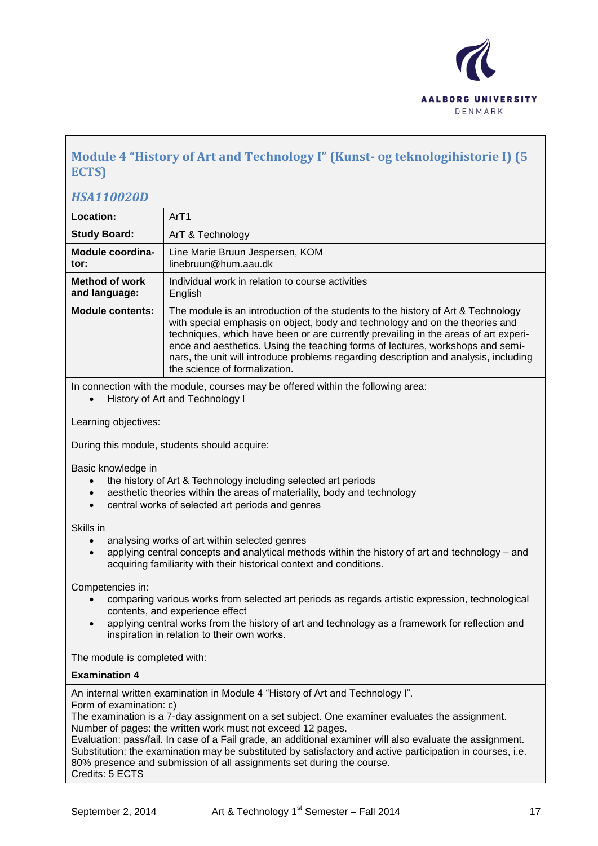

## **Module 4 "History of Art and Technology I" (Kunst- og teknologihistorie I) (5 ECTS)**

### *HSA110020D*

| Location:                              | ArT1                                                                                                                                                                                                                                                                                                                                                                                                                                                               |
|----------------------------------------|--------------------------------------------------------------------------------------------------------------------------------------------------------------------------------------------------------------------------------------------------------------------------------------------------------------------------------------------------------------------------------------------------------------------------------------------------------------------|
| <b>Study Board:</b>                    | ArT & Technology                                                                                                                                                                                                                                                                                                                                                                                                                                                   |
| Module coordina-<br>tor:               | Line Marie Bruun Jespersen, KOM<br>linebruun@hum.aau.dk                                                                                                                                                                                                                                                                                                                                                                                                            |
| <b>Method of work</b><br>and language: | Individual work in relation to course activities<br>English                                                                                                                                                                                                                                                                                                                                                                                                        |
| <b>Module contents:</b>                | The module is an introduction of the students to the history of Art & Technology<br>with special emphasis on object, body and technology and on the theories and<br>techniques, which have been or are currently prevailing in the areas of art experi-<br>ence and aesthetics. Using the teaching forms of lectures, workshops and semi-<br>nars, the unit will introduce problems regarding description and analysis, including<br>the science of formalization. |

In connection with the module, courses may be offered within the following area:

History of Art and Technology I

Learning objectives:

During this module, students should acquire:

Basic knowledge in

- the history of Art & Technology including selected art periods
- aesthetic theories within the areas of materiality, body and technology
- central works of selected art periods and genres

Skills in

- analysing works of art within selected genres
- applying central concepts and analytical methods within the history of art and technology and acquiring familiarity with their historical context and conditions.

Competencies in:

- comparing various works from selected art periods as regards artistic expression, technological contents, and experience effect
- applying central works from the history of art and technology as a framework for reflection and inspiration in relation to their own works.

The module is completed with:

#### **Examination 4**

An internal written examination in Module 4 "History of Art and Technology I".

Form of examination: c)

The examination is a 7-day assignment on a set subject. One examiner evaluates the assignment. Number of pages: the written work must not exceed 12 pages.

Evaluation: pass/fail. In case of a Fail grade, an additional examiner will also evaluate the assignment. Substitution: the examination may be substituted by satisfactory and active participation in courses, i.e. 80% presence and submission of all assignments set during the course. Credits: 5 ECTS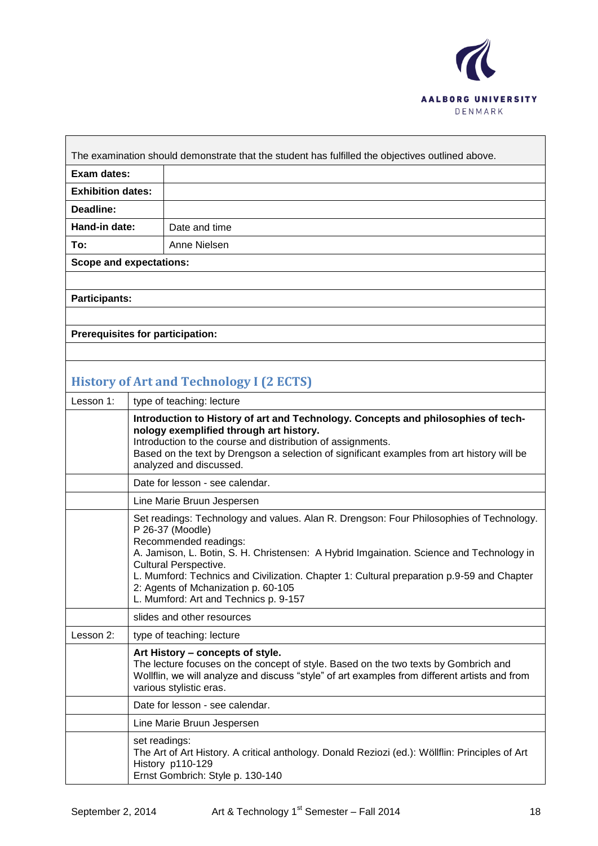

 $\overline{\phantom{a}}$ 

| The examination should demonstrate that the student has fulfilled the objectives outlined above. |               |
|--------------------------------------------------------------------------------------------------|---------------|
| Exam dates:                                                                                      |               |
| <b>Exhibition dates:</b>                                                                         |               |
| Deadline:                                                                                        |               |
| Hand-in date:                                                                                    | Date and time |
| To:                                                                                              | Anne Nielsen  |
| <b>Scope and expectations:</b>                                                                   |               |
|                                                                                                  |               |
| <b>Participants:</b>                                                                             |               |

**Prerequisites for participation:**

# **History of Art and Technology I (2 ECTS)**

| Lesson 1: | type of teaching: lecture                                                                                                                                                                                                                                                                                                                                                                                                                     |
|-----------|-----------------------------------------------------------------------------------------------------------------------------------------------------------------------------------------------------------------------------------------------------------------------------------------------------------------------------------------------------------------------------------------------------------------------------------------------|
|           | Introduction to History of art and Technology. Concepts and philosophies of tech-<br>nology exemplified through art history.<br>Introduction to the course and distribution of assignments.<br>Based on the text by Drengson a selection of significant examples from art history will be<br>analyzed and discussed.                                                                                                                          |
|           | Date for lesson - see calendar.                                                                                                                                                                                                                                                                                                                                                                                                               |
|           | Line Marie Bruun Jespersen                                                                                                                                                                                                                                                                                                                                                                                                                    |
|           | Set readings: Technology and values. Alan R. Drengson: Four Philosophies of Technology.<br>P 26-37 (Moodle)<br>Recommended readings:<br>A. Jamison, L. Botin, S. H. Christensen: A Hybrid Imgaination. Science and Technology in<br><b>Cultural Perspective.</b><br>L. Mumford: Technics and Civilization. Chapter 1: Cultural preparation p.9-59 and Chapter<br>2: Agents of Mchanization p. 60-105<br>L. Mumford: Art and Technics p. 9-157 |
|           | slides and other resources                                                                                                                                                                                                                                                                                                                                                                                                                    |
| Lesson 2: | type of teaching: lecture                                                                                                                                                                                                                                                                                                                                                                                                                     |
|           | Art History - concepts of style.<br>The lecture focuses on the concept of style. Based on the two texts by Gombrich and<br>Wollflin, we will analyze and discuss "style" of art examples from different artists and from<br>various stylistic eras.                                                                                                                                                                                           |
|           | Date for lesson - see calendar.                                                                                                                                                                                                                                                                                                                                                                                                               |
|           | Line Marie Bruun Jespersen                                                                                                                                                                                                                                                                                                                                                                                                                    |
|           | set readings:<br>The Art of Art History. A critical anthology. Donald Reziozi (ed.): Wöllflin: Principles of Art<br>History p110-129<br>Ernst Gombrich: Style p. 130-140                                                                                                                                                                                                                                                                      |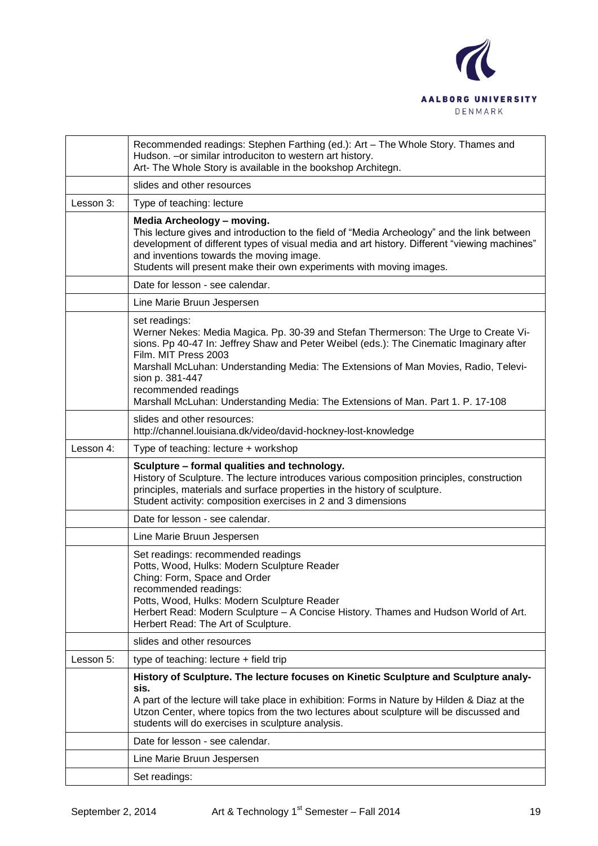

|           | Recommended readings: Stephen Farthing (ed.): Art - The Whole Story. Thames and<br>Hudson. - or similar introduciton to western art history.<br>Art- The Whole Story is available in the bookshop Architegn.                                                                                                                                                                                                                                 |
|-----------|----------------------------------------------------------------------------------------------------------------------------------------------------------------------------------------------------------------------------------------------------------------------------------------------------------------------------------------------------------------------------------------------------------------------------------------------|
|           | slides and other resources                                                                                                                                                                                                                                                                                                                                                                                                                   |
| Lesson 3: | Type of teaching: lecture                                                                                                                                                                                                                                                                                                                                                                                                                    |
|           | Media Archeology - moving.<br>This lecture gives and introduction to the field of "Media Archeology" and the link between<br>development of different types of visual media and art history. Different "viewing machines"<br>and inventions towards the moving image.<br>Students will present make their own experiments with moving images.                                                                                                |
|           | Date for lesson - see calendar.                                                                                                                                                                                                                                                                                                                                                                                                              |
|           | Line Marie Bruun Jespersen                                                                                                                                                                                                                                                                                                                                                                                                                   |
|           | set readings:<br>Werner Nekes: Media Magica. Pp. 30-39 and Stefan Thermerson: The Urge to Create Vi-<br>sions. Pp 40-47 In: Jeffrey Shaw and Peter Weibel (eds.): The Cinematic Imaginary after<br>Film. MIT Press 2003<br>Marshall McLuhan: Understanding Media: The Extensions of Man Movies, Radio, Televi-<br>sion p. 381-447<br>recommended readings<br>Marshall McLuhan: Understanding Media: The Extensions of Man. Part 1. P. 17-108 |
|           | slides and other resources:<br>http://channel.louisiana.dk/video/david-hockney-lost-knowledge                                                                                                                                                                                                                                                                                                                                                |
| Lesson 4: | Type of teaching: lecture + workshop                                                                                                                                                                                                                                                                                                                                                                                                         |
|           |                                                                                                                                                                                                                                                                                                                                                                                                                                              |
|           | Sculpture - formal qualities and technology.<br>History of Sculpture. The lecture introduces various composition principles, construction<br>principles, materials and surface properties in the history of sculpture.<br>Student activity: composition exercises in 2 and 3 dimensions                                                                                                                                                      |
|           | Date for lesson - see calendar.                                                                                                                                                                                                                                                                                                                                                                                                              |
|           | Line Marie Bruun Jespersen                                                                                                                                                                                                                                                                                                                                                                                                                   |
|           | Set readings: recommended readings<br>Potts, Wood, Hulks: Modern Sculpture Reader<br>Ching: Form, Space and Order<br>recommended readings:<br>Potts, Wood, Hulks: Modern Sculpture Reader<br>Herbert Read: Modern Sculpture - A Concise History. Thames and Hudson World of Art.<br>Herbert Read: The Art of Sculpture.                                                                                                                      |
|           | slides and other resources                                                                                                                                                                                                                                                                                                                                                                                                                   |
| Lesson 5: | type of teaching: lecture + field trip                                                                                                                                                                                                                                                                                                                                                                                                       |
|           | History of Sculpture. The lecture focuses on Kinetic Sculpture and Sculpture analy-<br>sis.<br>A part of the lecture will take place in exhibition: Forms in Nature by Hilden & Diaz at the<br>Utzon Center, where topics from the two lectures about sculpture will be discussed and<br>students will do exercises in sculpture analysis.                                                                                                   |
|           | Date for lesson - see calendar.                                                                                                                                                                                                                                                                                                                                                                                                              |
|           | Line Marie Bruun Jespersen                                                                                                                                                                                                                                                                                                                                                                                                                   |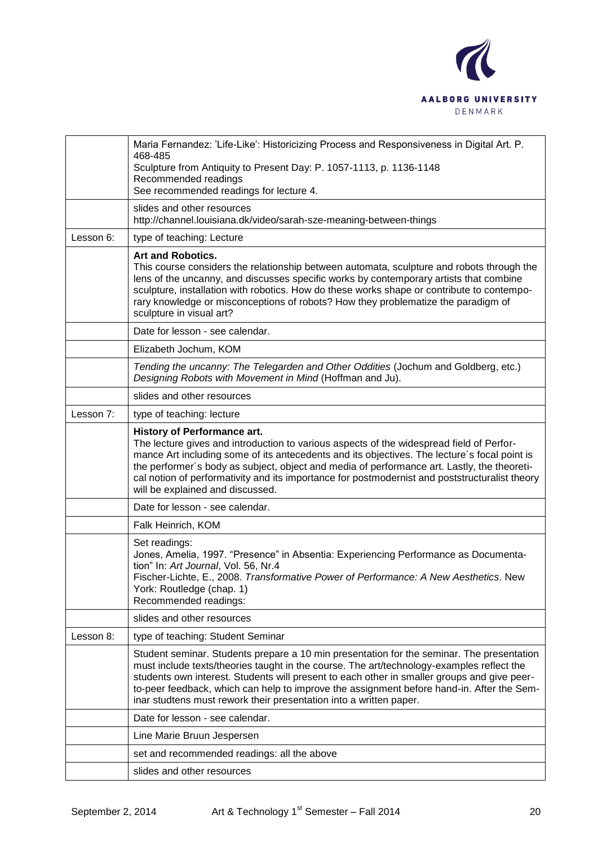

|           | Maria Fernandez: 'Life-Like': Historicizing Process and Responsiveness in Digital Art. P.<br>468-485<br>Sculpture from Antiquity to Present Day: P. 1057-1113, p. 1136-1148<br>Recommended readings<br>See recommended readings for lecture 4.                                                                                                                                                                                                                      |
|-----------|---------------------------------------------------------------------------------------------------------------------------------------------------------------------------------------------------------------------------------------------------------------------------------------------------------------------------------------------------------------------------------------------------------------------------------------------------------------------|
|           | slides and other resources<br>http://channel.louisiana.dk/video/sarah-sze-meaning-between-things                                                                                                                                                                                                                                                                                                                                                                    |
| Lesson 6: | type of teaching: Lecture                                                                                                                                                                                                                                                                                                                                                                                                                                           |
|           | <b>Art and Robotics.</b><br>This course considers the relationship between automata, sculpture and robots through the<br>lens of the uncanny, and discusses specific works by contemporary artists that combine<br>sculpture, installation with robotics. How do these works shape or contribute to contempo-<br>rary knowledge or misconceptions of robots? How they problematize the paradigm of<br>sculpture in visual art?                                      |
|           | Date for lesson - see calendar.                                                                                                                                                                                                                                                                                                                                                                                                                                     |
|           | Elizabeth Jochum, KOM                                                                                                                                                                                                                                                                                                                                                                                                                                               |
|           | Tending the uncanny: The Telegarden and Other Oddities (Jochum and Goldberg, etc.)<br>Designing Robots with Movement in Mind (Hoffman and Ju).                                                                                                                                                                                                                                                                                                                      |
|           | slides and other resources                                                                                                                                                                                                                                                                                                                                                                                                                                          |
| Lesson 7: | type of teaching: lecture                                                                                                                                                                                                                                                                                                                                                                                                                                           |
|           | <b>History of Performance art.</b><br>The lecture gives and introduction to various aspects of the widespread field of Perfor-<br>mance Art including some of its antecedents and its objectives. The lecture's focal point is<br>the performer's body as subject, object and media of performance art. Lastly, the theoreti-<br>cal notion of performativity and its importance for postmodernist and poststructuralist theory<br>will be explained and discussed. |
|           | Date for lesson - see calendar.                                                                                                                                                                                                                                                                                                                                                                                                                                     |
|           | Falk Heinrich, KOM                                                                                                                                                                                                                                                                                                                                                                                                                                                  |
|           | Set readings:<br>Jones, Amelia, 1997. "Presence" in Absentia: Experiencing Performance as Documenta-<br>tion" In: Art Journal, Vol. 56, Nr.4<br>Fischer-Lichte, E., 2008. Transformative Power of Performance: A New Aesthetics. New<br>York: Routledge (chap. 1)<br>Recommended readings:                                                                                                                                                                          |
|           | slides and other resources                                                                                                                                                                                                                                                                                                                                                                                                                                          |
| Lesson 8: | type of teaching: Student Seminar                                                                                                                                                                                                                                                                                                                                                                                                                                   |
|           | Student seminar. Students prepare a 10 min presentation for the seminar. The presentation<br>must include texts/theories taught in the course. The art/technology-examples reflect the<br>students own interest. Students will present to each other in smaller groups and give peer-<br>to-peer feedback, which can help to improve the assignment before hand-in. After the Sem-<br>inar studtens must rework their presentation into a written paper.            |
|           | Date for lesson - see calendar.                                                                                                                                                                                                                                                                                                                                                                                                                                     |
|           | Line Marie Bruun Jespersen                                                                                                                                                                                                                                                                                                                                                                                                                                          |
|           | set and recommended readings: all the above                                                                                                                                                                                                                                                                                                                                                                                                                         |
|           | slides and other resources                                                                                                                                                                                                                                                                                                                                                                                                                                          |